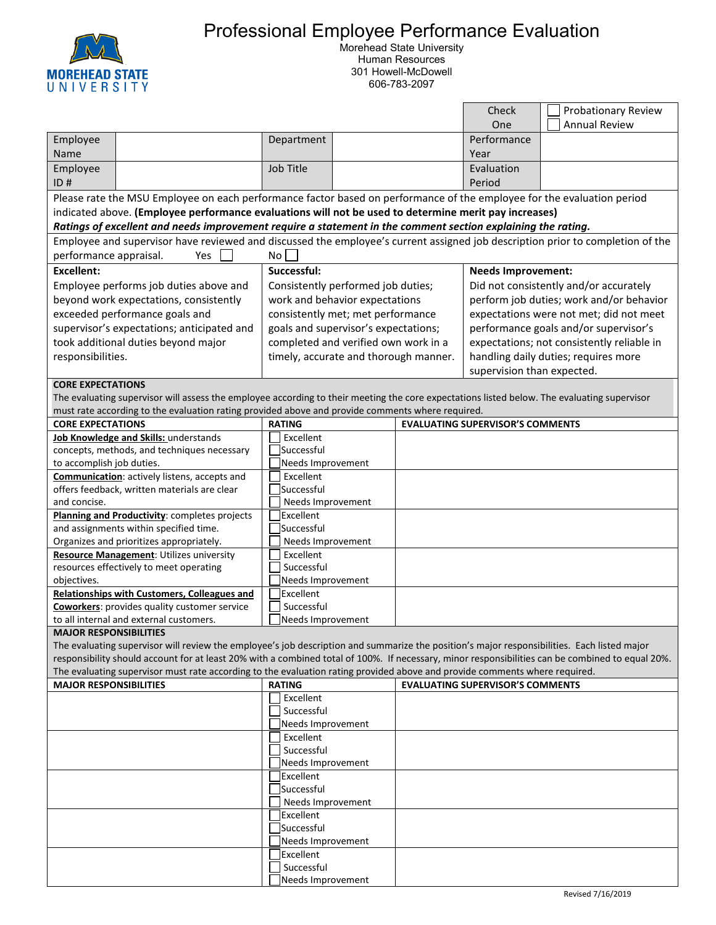

## Professional Employee Performance Evaluation

Morehead State University Human Resources 301 Howell-McDowell 606-783-2097

|                                                                                                                                                             |                                                                                                                                                  |                                       |  |                                         | Check                                      | <b>Probationary Review</b> |  |  |  |
|-------------------------------------------------------------------------------------------------------------------------------------------------------------|--------------------------------------------------------------------------------------------------------------------------------------------------|---------------------------------------|--|-----------------------------------------|--------------------------------------------|----------------------------|--|--|--|
|                                                                                                                                                             |                                                                                                                                                  |                                       |  |                                         | One                                        | <b>Annual Review</b>       |  |  |  |
| Employee                                                                                                                                                    |                                                                                                                                                  | Department                            |  |                                         | Performance                                |                            |  |  |  |
| Name                                                                                                                                                        |                                                                                                                                                  |                                       |  |                                         | Year                                       |                            |  |  |  |
| Employee                                                                                                                                                    |                                                                                                                                                  | Job Title                             |  |                                         | Evaluation                                 |                            |  |  |  |
| ID#                                                                                                                                                         |                                                                                                                                                  |                                       |  |                                         | Period                                     |                            |  |  |  |
| Please rate the MSU Employee on each performance factor based on performance of the employee for the evaluation period                                      |                                                                                                                                                  |                                       |  |                                         |                                            |                            |  |  |  |
| indicated above. (Employee performance evaluations will not be used to determine merit pay increases)                                                       |                                                                                                                                                  |                                       |  |                                         |                                            |                            |  |  |  |
|                                                                                                                                                             | Ratings of excellent and needs improvement require a statement in the comment section explaining the rating.                                     |                                       |  |                                         |                                            |                            |  |  |  |
|                                                                                                                                                             | Employee and supervisor have reviewed and discussed the employee's current assigned job description prior to completion of the                   |                                       |  |                                         |                                            |                            |  |  |  |
| performance appraisal.                                                                                                                                      | Yes                                                                                                                                              | No I                                  |  |                                         |                                            |                            |  |  |  |
| <b>Excellent:</b>                                                                                                                                           | Successful:                                                                                                                                      |                                       |  |                                         | <b>Needs Improvement:</b>                  |                            |  |  |  |
| Employee performs job duties above and                                                                                                                      |                                                                                                                                                  | Consistently performed job duties;    |  |                                         | Did not consistently and/or accurately     |                            |  |  |  |
| beyond work expectations, consistently                                                                                                                      |                                                                                                                                                  | work and behavior expectations        |  |                                         | perform job duties; work and/or behavior   |                            |  |  |  |
| exceeded performance goals and                                                                                                                              |                                                                                                                                                  | consistently met; met performance     |  |                                         | expectations were not met; did not meet    |                            |  |  |  |
| supervisor's expectations; anticipated and                                                                                                                  |                                                                                                                                                  | goals and supervisor's expectations;  |  |                                         | performance goals and/or supervisor's      |                            |  |  |  |
| took additional duties beyond major                                                                                                                         |                                                                                                                                                  | completed and verified own work in a  |  |                                         | expectations; not consistently reliable in |                            |  |  |  |
| responsibilities.                                                                                                                                           |                                                                                                                                                  | timely, accurate and thorough manner. |  |                                         | handling daily duties; requires more       |                            |  |  |  |
|                                                                                                                                                             |                                                                                                                                                  |                                       |  |                                         | supervision than expected.                 |                            |  |  |  |
| <b>CORE EXPECTATIONS</b>                                                                                                                                    |                                                                                                                                                  |                                       |  |                                         |                                            |                            |  |  |  |
|                                                                                                                                                             | The evaluating supervisor will assess the employee according to their meeting the core expectations listed below. The evaluating supervisor      |                                       |  |                                         |                                            |                            |  |  |  |
|                                                                                                                                                             | must rate according to the evaluation rating provided above and provide comments where required.                                                 |                                       |  |                                         |                                            |                            |  |  |  |
| <b>CORE EXPECTATIONS</b>                                                                                                                                    |                                                                                                                                                  | <b>RATING</b>                         |  |                                         | <b>EVALUATING SUPERVISOR'S COMMENTS</b>    |                            |  |  |  |
| Job Knowledge and Skills: understands                                                                                                                       |                                                                                                                                                  | Excellent                             |  |                                         |                                            |                            |  |  |  |
| concepts, methods, and techniques necessary                                                                                                                 |                                                                                                                                                  | Successful                            |  |                                         |                                            |                            |  |  |  |
| to accomplish job duties.                                                                                                                                   |                                                                                                                                                  | Needs Improvement                     |  |                                         |                                            |                            |  |  |  |
| Communication: actively listens, accepts and                                                                                                                |                                                                                                                                                  | Excellent                             |  |                                         |                                            |                            |  |  |  |
| offers feedback, written materials are clear                                                                                                                |                                                                                                                                                  | Successful                            |  |                                         |                                            |                            |  |  |  |
| and concise.                                                                                                                                                |                                                                                                                                                  | Needs Improvement<br>Excellent        |  |                                         |                                            |                            |  |  |  |
| Planning and Productivity: completes projects<br>and assignments within specified time.                                                                     |                                                                                                                                                  | Successful                            |  |                                         |                                            |                            |  |  |  |
| Organizes and prioritizes appropriately.                                                                                                                    |                                                                                                                                                  | Needs Improvement                     |  |                                         |                                            |                            |  |  |  |
| Resource Management: Utilizes university                                                                                                                    |                                                                                                                                                  | Excellent                             |  |                                         |                                            |                            |  |  |  |
|                                                                                                                                                             | resources effectively to meet operating                                                                                                          | Successful                            |  |                                         |                                            |                            |  |  |  |
| objectives.                                                                                                                                                 |                                                                                                                                                  | Needs Improvement                     |  |                                         |                                            |                            |  |  |  |
| Relationships with Customers, Colleagues and                                                                                                                |                                                                                                                                                  | Excellent                             |  |                                         |                                            |                            |  |  |  |
| <b>Coworkers:</b> provides quality customer service                                                                                                         |                                                                                                                                                  | Successful                            |  |                                         |                                            |                            |  |  |  |
|                                                                                                                                                             | to all internal and external customers.                                                                                                          | lNeeds Improvement                    |  |                                         |                                            |                            |  |  |  |
| <b>MAJOR RESPONSIBILITIES</b>                                                                                                                               |                                                                                                                                                  |                                       |  |                                         |                                            |                            |  |  |  |
|                                                                                                                                                             | The evaluating supervisor will review the employee's job description and summarize the position's major responsibilities. Each listed major      |                                       |  |                                         |                                            |                            |  |  |  |
|                                                                                                                                                             | responsibility should account for at least 20% with a combined total of 100%. If necessary, minor responsibilities can be combined to equal 20%. |                                       |  |                                         |                                            |                            |  |  |  |
| The evaluating supervisor must rate according to the evaluation rating provided above and provide comments where required.<br><b>MAJOR RESPONSIBILITIES</b> |                                                                                                                                                  |                                       |  | <b>EVALUATING SUPERVISOR'S COMMENTS</b> |                                            |                            |  |  |  |
|                                                                                                                                                             |                                                                                                                                                  | <b>RATING</b>                         |  |                                         |                                            |                            |  |  |  |
|                                                                                                                                                             |                                                                                                                                                  | Excellent<br>Successful               |  |                                         |                                            |                            |  |  |  |
|                                                                                                                                                             |                                                                                                                                                  | Needs Improvement                     |  |                                         |                                            |                            |  |  |  |
|                                                                                                                                                             |                                                                                                                                                  | Excellent                             |  |                                         |                                            |                            |  |  |  |
|                                                                                                                                                             |                                                                                                                                                  | Successful                            |  |                                         |                                            |                            |  |  |  |
|                                                                                                                                                             |                                                                                                                                                  | Needs Improvement                     |  |                                         |                                            |                            |  |  |  |
|                                                                                                                                                             |                                                                                                                                                  | Excellent                             |  |                                         |                                            |                            |  |  |  |
|                                                                                                                                                             |                                                                                                                                                  | Successful_                           |  |                                         |                                            |                            |  |  |  |
|                                                                                                                                                             |                                                                                                                                                  | Needs Improvement                     |  |                                         |                                            |                            |  |  |  |
|                                                                                                                                                             |                                                                                                                                                  | Excellent                             |  |                                         |                                            |                            |  |  |  |
|                                                                                                                                                             |                                                                                                                                                  | Successful                            |  |                                         |                                            |                            |  |  |  |
|                                                                                                                                                             |                                                                                                                                                  | Needs Improvement                     |  |                                         |                                            |                            |  |  |  |
|                                                                                                                                                             |                                                                                                                                                  | Excellent                             |  |                                         |                                            |                            |  |  |  |
|                                                                                                                                                             |                                                                                                                                                  | Successful                            |  |                                         |                                            |                            |  |  |  |
|                                                                                                                                                             |                                                                                                                                                  | Needs Improvement                     |  |                                         |                                            |                            |  |  |  |